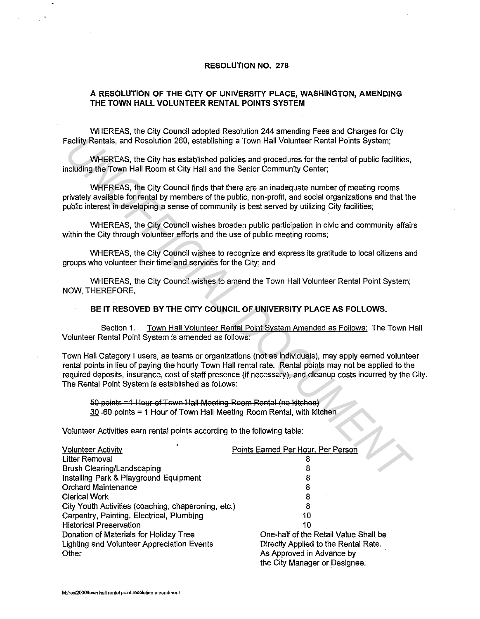## **RESOLUTION NO. 278**

## **A RESOLUTION OF THE CITY OF UNIVERSITY PLACE, WASHINGTON, AMENDING THE TOWN HALL VOLUNTEER RENTAL POINTS SYSTEM**

WHEREAS, the City Council adopted Resolution 244 amending Fees and Charges for City Facility Rentals, and Resolution 260, establishing a Town Hall Volunteer Rental Points System;

WHEREAS, the City has established policies and procedures for the rental of public facilities, including the Town Hall Room at City Hall and the Senior Community Center;

WHEREAS, the City Council finds that there are an inadequate number of meeting rooms privately available for rental by members of the public, non-profit, and social organizations and that the public interest in developing a sense of community is best served by utilizing City facilities;

WHEREAS, the City Council wishes broaden public participation in civic and community affairs within the City through volunteer efforts and the use of public meeting rooms;

WHEREAS, the City Council wishes to recognize and express its gratitude to local citizens and groups who volunteer their time and services for the City; and

WHEREAS, the City Council wishes to amend the Town Hall Volunteer Rental Point System; NOW, THEREFORE,

## **BE IT RESOVED BY THE CITY COUNCIL OF UNIVERSITY PLACE AS FOLLOWS.**

Section 1. Town Hall Volunteer Rental Point System Amended as Follows: The Town Hall Volunteer Rental Point System is amended as follows:

Town Hall Category I users, as teams or organizations (not as individuals), may apply earned volunteer rental points in lieu of paying the hourly Town Hall rental rate. Rental points may not be applied to the required deposits, insurance, cost of staff presence (if necessary), and cleanup costs incurred by the City. The Rental Point System is established as follows: Facility Rentals, and Resolution 260, establishing a Town Hall Volunteer Rental Points System;<br>
WHEREAS, the City has established policies and procedures for the rental of public facilities,<br>
WHEREAS, the City has establis

50 points =1 Hour of Tewn Hall Meeting Room Rental (no kitchen) 30 -90-points = 1 Hour of Town Hall Meeting Room Rental, with kitchen

| $30 - 60$ -points = 1 Hour of Town Hall Meeting Room Rental, with kitchen<br>Volunteer Activities earn rental points according to the following table: |                                       |
|--------------------------------------------------------------------------------------------------------------------------------------------------------|---------------------------------------|
|                                                                                                                                                        |                                       |
| Litter Removal                                                                                                                                         |                                       |
| <b>Brush Clearing/Landscaping</b>                                                                                                                      |                                       |
| Installing Park & Playground Equipment                                                                                                                 |                                       |
| <b>Orchard Maintenance</b>                                                                                                                             | 8                                     |
| Clerical Work                                                                                                                                          |                                       |
| City Youth Activities (coaching, chaperoning, etc.)                                                                                                    | 8                                     |
| Carpentry, Painting, Electrical, Plumbing                                                                                                              | 10                                    |
| <b>Historical Preservation</b>                                                                                                                         | 10                                    |
| Donation of Materials for Holiday Tree                                                                                                                 | One-half of the Retail Value Shall be |
| Lighting and Volunteer Appreciation Events                                                                                                             | Directly Applied to the Rental Rate.  |
| Other                                                                                                                                                  | As Approved in Advance by             |
|                                                                                                                                                        | the City Manager or Designee.         |